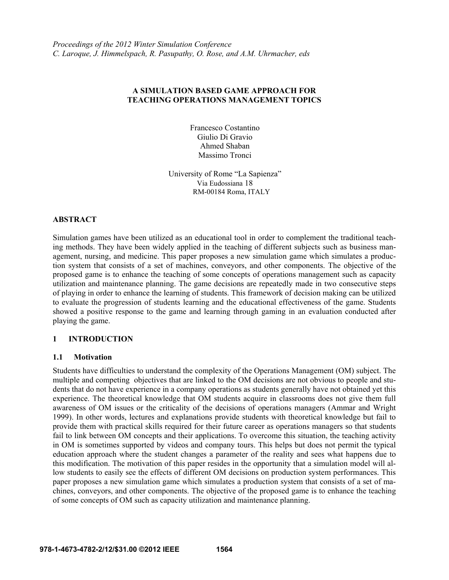# **A SIMULATION BASED GAME APPROACH FOR TEACHING OPERATIONS MANAGEMENT TOPICS**

Francesco Costantino Giulio Di Gravio Ahmed Shaban Massimo Tronci

University of Rome "La Sapienza" Via Eudossiana 18 RM-00184 Roma, ITALY

## **ABSTRACT**

Simulation games have been utilized as an educational tool in order to complement the traditional teaching methods. They have been widely applied in the teaching of different subjects such as business management, nursing, and medicine. This paper proposes a new simulation game which simulates a production system that consists of a set of machines, conveyors, and other components. The objective of the proposed game is to enhance the teaching of some concepts of operations management such as capacity utilization and maintenance planning. The game decisions are repeatedly made in two consecutive steps of playing in order to enhance the learning of students. This framework of decision making can be utilized to evaluate the progression of students learning and the educational effectiveness of the game. Students showed a positive response to the game and learning through gaming in an evaluation conducted after playing the game.

## **1 INTRODUCTION**

#### **1.1 Motivation**

Students have difficulties to understand the complexity of the Operations Management (OM) subject. The multiple and competing objectives that are linked to the OM decisions are not obvious to people and students that do not have experience in a company operations as students generally have not obtained yet this experience. The theoretical knowledge that OM students acquire in classrooms does not give them full awareness of OM issues or the criticality of the decisions of operations managers (Ammar and Wright 1999). In other words, lectures and explanations provide students with theoretical knowledge but fail to provide them with practical skills required for their future career as operations managers so that students fail to link between OM concepts and their applications. To overcome this situation, the teaching activity in OM is sometimes supported by videos and company tours. This helps but does not permit the typical education approach where the student changes a parameter of the reality and sees what happens due to this modification. The motivation of this paper resides in the opportunity that a simulation model will allow students to easily see the effects of different OM decisions on production system performances. This paper proposes a new simulation game which simulates a production system that consists of a set of machines, conveyors, and other components. The objective of the proposed game is to enhance the teaching of some concepts of OM such as capacity utilization and maintenance planning.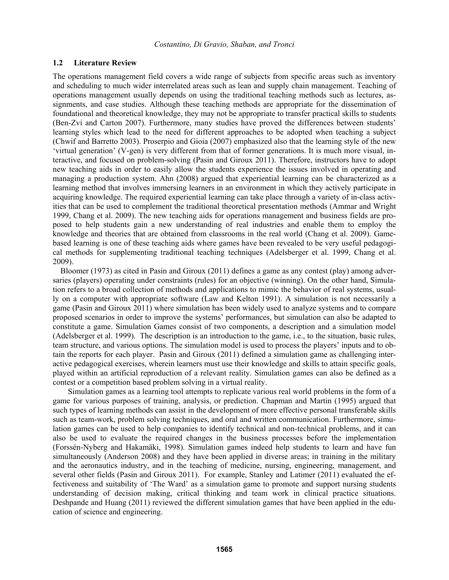## **1.2 Literature Review**

The operations management field covers a wide range of subjects from specific areas such as inventory and scheduling to much wider interrelated areas such as lean and supply chain management. Teaching of operations management usually depends on using the traditional teaching methods such as lectures, assignments, and case studies. Although these teaching methods are appropriate for the dissemination of foundational and theoretical knowledge, they may not be appropriate to transfer practical skills to students (Ben-Zvi and Carton 2007). Furthermore, many studies have proved the differences between students' learning styles which lead to the need for different approaches to be adopted when teaching a subject (Chwif and Barretto 2003). Proserpio and Gioia (2007) emphasized also that the learning style of the new 'virtual generation' (V-gen) is very different from that of former generations. It is much more visual, interactive, and focused on problem-solving (Pasin and Giroux 2011). Therefore, instructors have to adopt new teaching aids in order to easily allow the students experience the issues involved in operating and managing a production system. Ahn (2008) argued that experiential learning can be characterized as a learning method that involves immersing learners in an environment in which they actively participate in acquiring knowledge. The required experiential learning can take place through a variety of in-class activities that can be used to complement the traditional theoretical presentation methods (Ammar and Wright 1999, Chang et al. 2009). The new teaching aids for operations management and business fields are proposed to help students gain a new understanding of real industries and enable them to employ the knowledge and theories that are obtained from classrooms in the real world (Chang et al. 2009). Gamebased learning is one of these teaching aids where games have been revealed to be very useful pedagogical methods for supplementing traditional teaching techniques (Adelsberger et al. 1999, Chang et al. 2009).

Bloomer (1973) as cited in Pasin and Giroux (2011) defines a game as any contest (play) among adversaries (players) operating under constraints (rules) for an objective (winning). On the other hand, Simulation refers to a broad collection of methods and applications to mimic the behavior of real systems, usually on a computer with appropriate software (Law and Kelton 1991). A simulation is not necessarily a game (Pasin and Giroux 2011) where simulation has been widely used to analyze systems and to compare proposed scenarios in order to improve the systems' performances, but simulation can also be adapted to constitute a game. Simulation Games consist of two components, a description and a simulation model (Adelsberger et al. 1999). The description is an introduction to the game, i.e., to the situation, basic rules, team structure, and various options. The simulation model is used to process the players' inputs and to obtain the reports for each player. Pasin and Giroux (2011) defined a simulation game as challenging interactive pedagogical exercises, wherein learners must use their knowledge and skills to attain specific goals, played within an artificial reproduction of a relevant reality. Simulation games can also be defined as a contest or a competition based problem solving in a virtual reality.

Simulation games as a learning tool attempts to replicate various real world problems in the form of a game for various purposes of training, analysis, or prediction. Chapman and Martin (1995) argued that such types of learning methods can assist in the development of more effective personal transferable skills such as team-work, problem solving techniques, and oral and written communication. Furthermore, simulation games can be used to help companies to identify technical and non-technical problems, and it can also be used to evaluate the required changes in the business processes before the implementation (Forssén-Nyberg and Hakamäki, 1998). Simulation games indeed help students to learn and have fun simultaneously (Anderson 2008) and they have been applied in diverse areas; in training in the military and the aeronautics industry, and in the teaching of medicine, nursing, engineering, management, and several other fields (Pasin and Giroux 2011). For example, Stanley and Latimer (2011) evaluated the effectiveness and suitability of 'The Ward' as a simulation game to promote and support nursing students understanding of decision making, critical thinking and team work in clinical practice situations. Deshpande and Huang (2011) reviewed the different simulation games that have been applied in the education of science and engineering.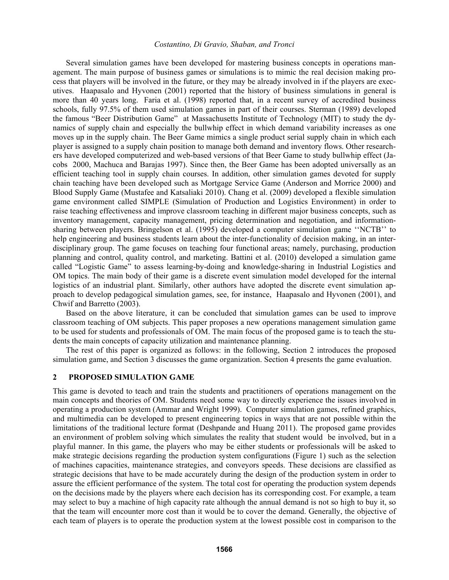Several simulation games have been developed for mastering business concepts in operations management. The main purpose of business games or simulations is to mimic the real decision making process that players will be involved in the future, or they may be already involved in if the players are executives. Haapasalo and Hyvonen (2001) reported that the history of business simulations in general is more than 40 years long. Faria et al. (1998) reported that, in a recent survey of accredited business schools, fully 97.5% of them used simulation games in part of their courses. Sterman (1989) developed the famous "Beer Distribution Game" at Massachusetts Institute of Technology (MIT) to study the dynamics of supply chain and especially the bullwhip effect in which demand variability increases as one moves up in the supply chain. The Beer Game mimics a single product serial supply chain in which each player is assigned to a supply chain position to manage both demand and inventory flows. Other researchers have developed computerized and web-based versions of that Beer Game to study bullwhip effect (Jacobs 2000, Machuca and Barajas 1997). Since then, the Beer Game has been adopted universally as an efficient teaching tool in supply chain courses. In addition, other simulation games devoted for supply chain teaching have been developed such as Mortgage Service Game (Anderson and Morrice 2000) and Blood Supply Game (Mustafee and Katsaliaki 2010). Chang et al. (2009) developed a flexible simulation game environment called SIMPLE (Simulation of Production and Logistics Environment) in order to raise teaching effectiveness and improve classroom teaching in different major business concepts, such as inventory management, capacity management, pricing determination and negotiation, and informationsharing between players. Bringelson et al. (1995) developed a computer simulation game ''NCTB'' to help engineering and business students learn about the inter-functionality of decision making, in an interdisciplinary group. The game focuses on teaching four functional areas; namely, purchasing, production planning and control, quality control, and marketing. Battini et al. (2010) developed a simulation game called "Logistic Game" to assess learning-by-doing and knowledge-sharing in Industrial Logistics and OM topics. The main body of their game is a discrete event simulation model developed for the internal logistics of an industrial plant. Similarly, other authors have adopted the discrete event simulation approach to develop pedagogical simulation games, see, for instance, Haapasalo and Hyvonen (2001), and Chwif and Barretto (2003).

Based on the above literature, it can be concluded that simulation games can be used to improve classroom teaching of OM subjects. This paper proposes a new operations management simulation game to be used for students and professionals of OM. The main focus of the proposed game is to teach the students the main concepts of capacity utilization and maintenance planning.

The rest of this paper is organized as follows: in the following, Section 2 introduces the proposed simulation game, and Section 3 discusses the game organization. Section 4 presents the game evaluation.

#### **2 PROPOSED SIMULATION GAME**

This game is devoted to teach and train the students and practitioners of operations management on the main concepts and theories of OM. Students need some way to directly experience the issues involved in operating a production system (Ammar and Wright 1999). Computer simulation games, refined graphics, and multimedia can be developed to present engineering topics in ways that are not possible within the limitations of the traditional lecture format (Deshpande and Huang 2011). The proposed game provides an environment of problem solving which simulates the reality that student would be involved, but in a playful manner. In this game, the players who may be either students or professionals will be asked to make strategic decisions regarding the production system configurations (Figure 1) such as the selection of machines capacities, maintenance strategies, and conveyors speeds. These decisions are classified as strategic decisions that have to be made accurately during the design of the production system in order to assure the efficient performance of the system. The total cost for operating the production system depends on the decisions made by the players where each decision has its corresponding cost. For example, a team may select to buy a machine of high capacity rate although the annual demand is not so high to buy it, so that the team will encounter more cost than it would be to cover the demand. Generally, the objective of each team of players is to operate the production system at the lowest possible cost in comparison to the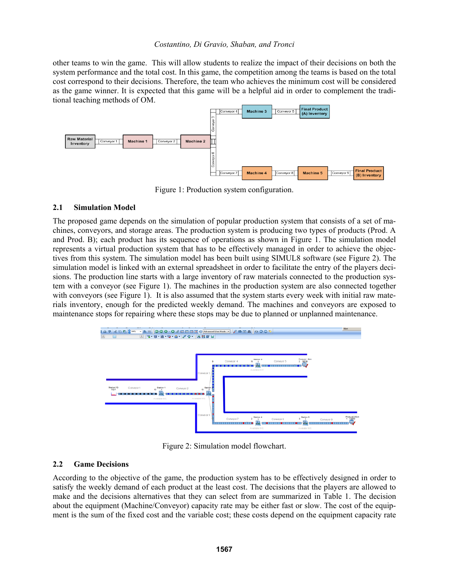other teams to win the game. This will allow students to realize the impact of their decisions on both the system performance and the total cost. In this game, the competition among the teams is based on the total cost correspond to their decisions. Therefore, the team who achieves the minimum cost will be considered as the game winner. It is expected that this game will be a helpful aid in order to complement the traditional teaching methods of OM.



Figure 1: Production system configuration.

## **2.1 Simulation Model**

The proposed game depends on the simulation of popular production system that consists of a set of machines, conveyors, and storage areas. The production system is producing two types of products (Prod. A and Prod. B); each product has its sequence of operations as shown in Figure 1. The simulation model represents a virtual production system that has to be effectively managed in order to achieve the objectives from this system. The simulation model has been built using SIMUL8 software (see Figure 2). The simulation model is linked with an external spreadsheet in order to facilitate the entry of the players decisions. The production line starts with a large inventory of raw materials connected to the production system with a conveyor (see Figure 1). The machines in the production system are also connected together with conveyors (see Figure 1). It is also assumed that the system starts every week with initial raw materials inventory, enough for the predicted weekly demand. The machines and conveyors are exposed to maintenance stops for repairing where these stops may be due to planned or unplanned maintenance.



Figure 2: Simulation model flowchart.

## **2.2 Game Decisions**

According to the objective of the game, the production system has to be effectively designed in order to satisfy the weekly demand of each product at the least cost. The decisions that the players are allowed to make and the decisions alternatives that they can select from are summarized in Table 1. The decision about the equipment (Machine/Conveyor) capacity rate may be either fast or slow. The cost of the equipment is the sum of the fixed cost and the variable cost; these costs depend on the equipment capacity rate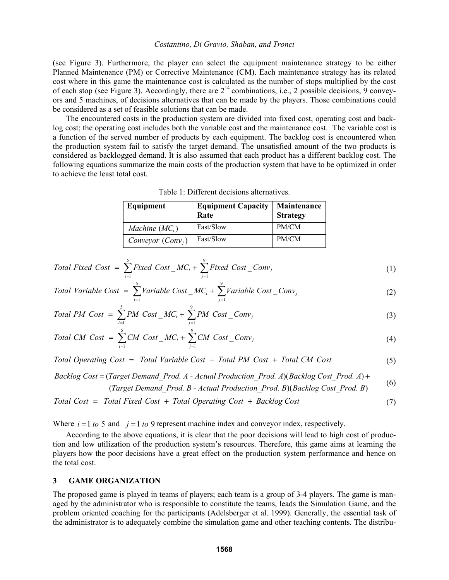(see Figure 3). Furthermore, the player can select the equipment maintenance strategy to be either Planned Maintenance (PM) or Corrective Maintenance (CM). Each maintenance strategy has its related cost where in this game the maintenance cost is calculated as the number of stops multiplied by the cost of each stop (see Figure 3). Accordingly, there are  $2^{14}$  combinations, i.e., 2 possible decisions, 9 conveyors and 5 machines, of decisions alternatives that can be made by the players. Those combinations could be considered as a set of feasible solutions that can be made.

The encountered costs in the production system are divided into fixed cost, operating cost and backlog cost; the operating cost includes both the variable cost and the maintenance cost. The variable cost is a function of the served number of products by each equipment. The backlog cost is encountered when the production system fail to satisfy the target demand. The unsatisfied amount of the two products is considered as backlogged demand. It is also assumed that each product has a different backlog cost. The following equations summarize the main costs of the production system that have to be optimized in order to achieve the least total cost.

| Equipment           | <b>Equipment Capacity</b><br>Rate | Maintenance<br><b>Strategy</b> |
|---------------------|-----------------------------------|--------------------------------|
| Machine $(MC_i)$    | Fast/Slow                         | PM/CM                          |
| Conveyor $(Conv_i)$ | Fast/Slow                         | PM/CM                          |

$$
Total Fixed Cost = \sum_{i=1}^{5} Fixed Cost\_MC_i + \sum_{j=1}^{9} Fixed Cost\_Conv_j
$$
 (1)

Total Variable Cost = 
$$
\sum_{i=1}^{5} Variable Cost \_MC_i + \sum_{j=1}^{9} Variable Cost \_Conv_j
$$
 (2)

$$
Total PM Cost = \sum_{i=1}^{5} PM Cost\_MC_i + \sum_{j=1}^{9} PM Cost\_Conv_j
$$
\n(3)

$$
Total CM Cost = \sum_{i=1}^{5} CM Cost\_MC_i + \sum_{j=1}^{9} CM Cost\_Conv_j
$$
\n(4)

$$
Total Operating Cost = Total Variable Cost + Total PM Cost + Total CM Cost \qquad (5)
$$

Backlog Cost = (Target Demand\_Prod. A - Actual Production\_Prod. A)(Backlog Cost\_Prod. A) + (6)

( )( )  *Target Demand\_Prod. B - Actual Production\_Prod. B Backlog Cost\_Prod. B*

$$
Total Cost = Total Fixed Cost + Total Operating Cost + Backlog Cost \tag{7}
$$

Where  $i = 1$  to 5 and  $j = 1$  to 9 represent machine index and conveyor index, respectively.

According to the above equations, it is clear that the poor decisions will lead to high cost of production and low utilization of the production system's resources. Therefore, this game aims at learning the players how the poor decisions have a great effect on the production system performance and hence on the total cost.

## **3 GAME ORGANIZATION**

The proposed game is played in teams of players; each team is a group of 3-4 players. The game is managed by the administrator who is responsible to constitute the teams, leads the Simulation Game, and the problem oriented coaching for the participants (Adelsberger et al. 1999). Generally, the essential task of the administrator is to adequately combine the simulation game and other teaching contents. The distribu-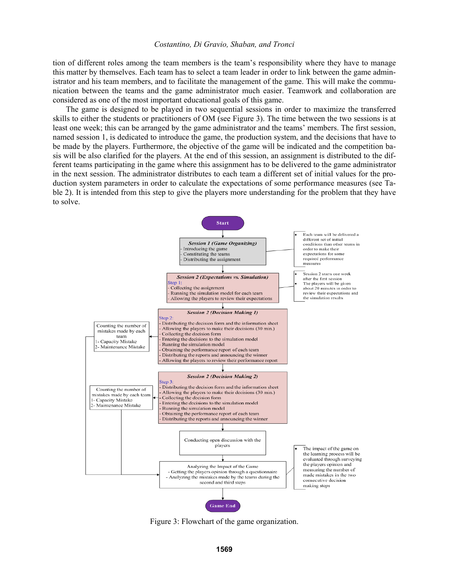tion of different roles among the team members is the team's responsibility where they have to manage this matter by themselves. Each team has to select a team leader in order to link between the game administrator and his team members, and to facilitate the management of the game. This will make the communication between the teams and the game administrator much easier. Teamwork and collaboration are considered as one of the most important educational goals of this game.

The game is designed to be played in two sequential sessions in order to maximize the transferred skills to either the students or practitioners of OM (see Figure 3). The time between the two sessions is at least one week; this can be arranged by the game administrator and the teams' members. The first session, named session 1, is dedicated to introduce the game, the production system, and the decisions that have to be made by the players. Furthermore, the objective of the game will be indicated and the competition basis will be also clarified for the players. At the end of this session, an assignment is distributed to the different teams participating in the game where this assignment has to be delivered to the game administrator in the next session. The administrator distributes to each team a different set of initial values for the production system parameters in order to calculate the expectations of some performance measures (see Table 2). It is intended from this step to give the players more understanding for the problem that they have to solve.



Figure 3: Flowchart of the game organization.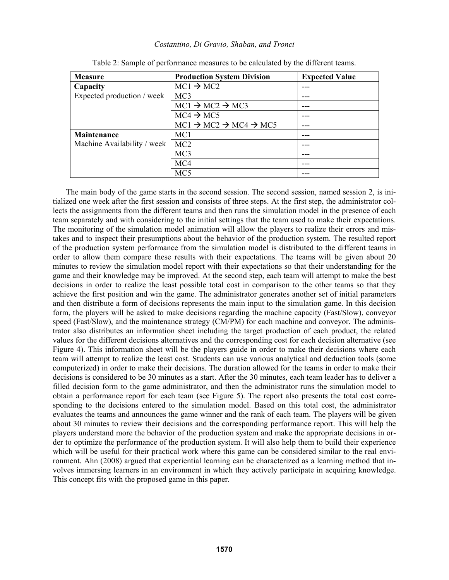| <b>Measure</b>              | <b>Production System Division</b>                     | <b>Expected Value</b> |
|-----------------------------|-------------------------------------------------------|-----------------------|
| Capacity                    | $MC1 \rightarrow MC2$                                 |                       |
| Expected production / week  | MC <sub>3</sub>                                       |                       |
|                             | $MC1 \rightarrow MC2 \rightarrow MC3$                 |                       |
|                             | $MC4 \rightarrow MC5$                                 |                       |
|                             | $MC1 \rightarrow MC2 \rightarrow MC4 \rightarrow MC5$ |                       |
| Maintenance                 | MC <sub>1</sub>                                       |                       |
| Machine Availability / week | MC <sub>2</sub>                                       |                       |
|                             | MC <sub>3</sub>                                       |                       |
|                             | MC4                                                   |                       |
|                             | MC <sub>5</sub>                                       |                       |

|  | Table 2: Sample of performance measures to be calculated by the different teams. |  |  |
|--|----------------------------------------------------------------------------------|--|--|
|--|----------------------------------------------------------------------------------|--|--|

The main body of the game starts in the second session. The second session, named session 2, is initialized one week after the first session and consists of three steps. At the first step, the administrator collects the assignments from the different teams and then runs the simulation model in the presence of each team separately and with considering to the initial settings that the team used to make their expectations. The monitoring of the simulation model animation will allow the players to realize their errors and mistakes and to inspect their presumptions about the behavior of the production system. The resulted report of the production system performance from the simulation model is distributed to the different teams in order to allow them compare these results with their expectations. The teams will be given about 20 minutes to review the simulation model report with their expectations so that their understanding for the game and their knowledge may be improved. At the second step, each team will attempt to make the best decisions in order to realize the least possible total cost in comparison to the other teams so that they achieve the first position and win the game. The administrator generates another set of initial parameters and then distribute a form of decisions represents the main input to the simulation game. In this decision form, the players will be asked to make decisions regarding the machine capacity (Fast/Slow), conveyor speed (Fast/Slow), and the maintenance strategy (CM/PM) for each machine and conveyor. The administrator also distributes an information sheet including the target production of each product, the related values for the different decisions alternatives and the corresponding cost for each decision alternative (see Figure 4). This information sheet will be the players guide in order to make their decisions where each team will attempt to realize the least cost. Students can use various analytical and deduction tools (some computerized) in order to make their decisions. The duration allowed for the teams in order to make their decisions is considered to be 30 minutes as a start. After the 30 minutes, each team leader has to deliver a filled decision form to the game administrator, and then the administrator runs the simulation model to obtain a performance report for each team (see Figure 5). The report also presents the total cost corresponding to the decisions entered to the simulation model. Based on this total cost, the administrator evaluates the teams and announces the game winner and the rank of each team. The players will be given about 30 minutes to review their decisions and the corresponding performance report. This will help the players understand more the behavior of the production system and make the appropriate decisions in order to optimize the performance of the production system. It will also help them to build their experience which will be useful for their practical work where this game can be considered similar to the real environment. Ahn (2008) argued that experiential learning can be characterized as a learning method that involves immersing learners in an environment in which they actively participate in acquiring knowledge. This concept fits with the proposed game in this paper.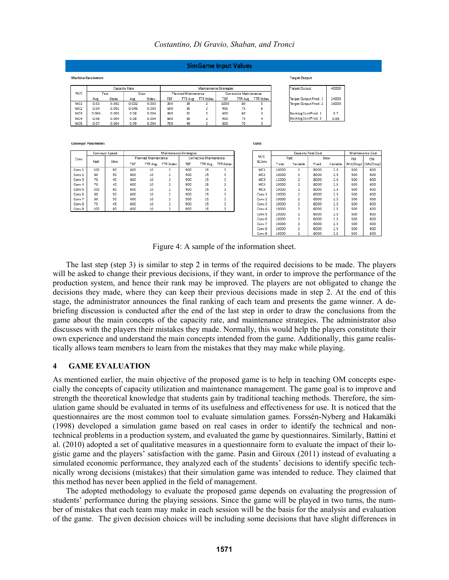| <b>SimGame Input Values</b> |  |  |
|-----------------------------|--|--|
|                             |  |  |
|                             |  |  |

**Target Output** 

Costs

Target Output arget Output Prod. 1

Target Output Prod. 2

BacklogCostProd. 1 BacklogCostProd

| Capacity Rate   |       |        |       |             |     | Maintenance Strategies |                   |      |                               |                   |  |  |  |
|-----------------|-------|--------|-------|-------------|-----|------------------------|-------------------|------|-------------------------------|-------------------|--|--|--|
| M/C             |       | Fast   |       | <b>Slow</b> |     | Planned Maintenance    |                   |      | <b>Corrective Maintenance</b> |                   |  |  |  |
|                 | Avg.  | Stdev. | Avg.  | Stdev.      | TBF | TTR Avg.               | <b>TTR</b> Stdev. | TBF  | <b>TTR Avg.</b>               | <b>TTR Stdev.</b> |  |  |  |
| MC <sub>1</sub> | 0.03  | 0.002  | 0.032 | 0.003       | 300 | зо                     |                   | 1000 | 80                            |                   |  |  |  |
| MC2             | 0.04  | 0.003  | 0.045 | 0.003       | 500 | 35                     |                   | 900  | 75                            | 6                 |  |  |  |
| MC <sub>3</sub> | 0.065 | 0.003  | 0.08  | 0.004       | 400 | 32                     |                   | 600  | 60                            |                   |  |  |  |
| MC4             | 0.06  | 0.004  | 0.08  | 0.004       | 600 | 30                     |                   | 900  | 75                            | 4                 |  |  |  |
| MC5             | 0.07  | 0.004  | 0.09  | 0.004       | 700 | 40                     |                   | 800  | 70                            |                   |  |  |  |

#### **Conveyor Parameters**

| Conveyor Speed |      | Maintenance Strategies |          |            |                            |                        |                   |  |  |
|----------------|------|------------------------|----------|------------|----------------------------|------------------------|-------------------|--|--|
|                | Slow |                        |          |            |                            | Corrective Maintenance |                   |  |  |
|                |      | <b>TBF</b>             | TTR Avg. | TTR Stdev. | <b>TBF</b>                 | TTR Ave.               | <b>TTR</b> Stdev. |  |  |
| 100            | 90   | 600                    | 10       | 2          | 900                        | 15                     | ٩                 |  |  |
| 80             | 50   | 600                    | 10       | 2          | 900                        | 15                     |                   |  |  |
| 70             | 40   | 600                    | 10       | 2          | 900                        | 15                     | з                 |  |  |
| 70             | 40   | 600                    | 10       | 2          | 900                        | 15                     | з                 |  |  |
| 100            | 80   | 600                    | 10       | 2          | 900                        | 15                     |                   |  |  |
| 80             | 50   | 600                    | 10       | 2          | 900                        | 15                     |                   |  |  |
| 80             | 50   | 600                    | 10       | 2          | 900                        | 15                     | 3                 |  |  |
| 75             | 45   | 600                    | 10       | 2          | 900                        | 15                     |                   |  |  |
| 100            | 80   | 600                    | 10       | o.         | 900                        | 15                     | R                 |  |  |
|                |      |                        |          |            |                            |                        |                   |  |  |
|                | Fast |                        |          |            | <b>Planned Maintenance</b> |                        |                   |  |  |

|                   |       | <b>Capacity Rate Cost</b> | Maintenance Cost |          |           |           |
|-------------------|-------|---------------------------|------------------|----------|-----------|-----------|
| M/C               |       | Fast                      |                  | Slow     | <b>PM</b> | <b>CM</b> |
| &Conv             | Fixed | Variable                  | Fixed            | Variable | (MU/Stop) | (MU/Stop) |
| MC1               | 10000 | 2                         | 8000             | 2.5      | 500       | 600       |
| MC <sub>2</sub>   | 10000 | $\overline{2}$            | 8000             | 2.5      | 500       | 600       |
| MC3               | 12000 | $\overline{2}$            | 8000             | 2.5      | 500       | 600       |
| MC4               | 10000 | 2                         | 8000             | 2.5      | 500       | 600       |
| MC5               | 10000 | 2                         | 8000             | 2.5      | 500       | 600       |
| Conv <sub>1</sub> | 10000 | $\overline{2}$            | 6000             | 2.5      | 500       | 600       |
| Conv <sub>2</sub> | 10000 | $\overline{2}$            | 6000             | 2.5      | 500       | 600       |
| Conv <sub>3</sub> | 10000 | $\overline{2}$            | 6000             | 2.5      | 500       | 600       |
| Conv <sub>4</sub> | 10000 | 2                         | 6000             | 2.5      | 500       | 600       |
| Conv <sub>5</sub> | 10000 | 2                         | 6000             | 2.5      | 500       | 600       |
| Conv <sub>6</sub> | 10000 | $\overline{2}$            | 6000             | 2.5      | 500       | 600       |
| Conv <sub>7</sub> | 10000 | 2                         | 6000             | 2.5      | 500       | 600       |
| Conv <sub>8</sub> | 10000 | $\overline{2}$            | 6000             | 2.5      | 500       | 600       |
| Conv <sub>9</sub> | 10000 | 2                         | 6000             | 2.5      | 500       | 600       |

40000

24000

16000  $0.7$ 

0.85

Figure 4: A sample of the information sheet.

The last step (step 3) is similar to step 2 in terms of the required decisions to be made. The players will be asked to change their previous decisions, if they want, in order to improve the performance of the production system, and hence their rank may be improved. The players are not obligated to change the decisions they made, where they can keep their previous decisions made in step 2. At the end of this stage, the administrator announces the final ranking of each team and presents the game winner. A debriefing discussion is conducted after the end of the last step in order to draw the conclusions from the game about the main concepts of the capacity rate, and maintenance strategies. The administrator also discusses with the players their mistakes they made. Normally, this would help the players constitute their own experience and understand the main concepts intended from the game. Additionally, this game realistically allows team members to learn from the mistakes that they may make while playing.

### **4 GAME EVALUATION**

As mentioned earlier, the main objective of the proposed game is to help in teaching OM concepts especially the concepts of capacity utilization and maintenance management. The game goal is to improve and strength the theoretical knowledge that students gain by traditional teaching methods. Therefore, the simulation game should be evaluated in terms of its usefulness and effectiveness for use. It is noticed that the questionnaires are the most common tool to evaluate simulation games. Forssén-Nyberg and Hakamäki (1998) developed a simulation game based on real cases in order to identify the technical and nontechnical problems in a production system, and evaluated the game by questionnaires. Similarly, Battini et al. (2010) adopted a set of qualitative measures in a questionnaire form to evaluate the impact of their logistic game and the players' satisfaction with the game. Pasin and Giroux (2011) instead of evaluating a simulated economic performance, they analyzed each of the students' decisions to identify specific technically wrong decisions (mistakes) that their simulation game was intended to reduce. They claimed that this method has never been applied in the field of management.

The adopted methodology to evaluate the proposed game depends on evaluating the progression of students' performance during the playing sessions. Since the game will be played in two turns, the number of mistakes that each team may make in each session will be the basis for the analysis and evaluation of the game. The given decision choices will be including some decisions that have slight differences in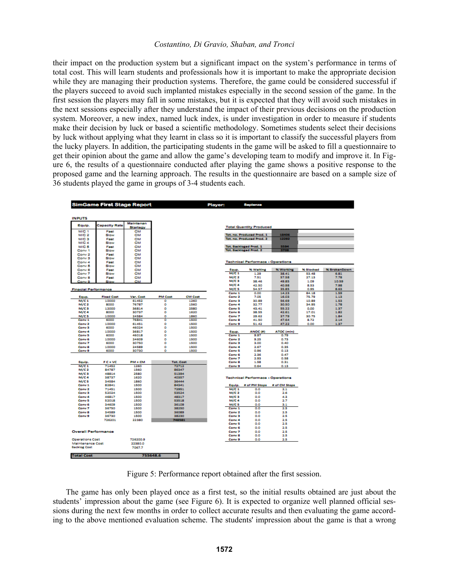their impact on the production system but a significant impact on the system's performance in terms of total cost. This will learn students and professionals how it is important to make the appropriate decision while they are managing their production systems. Therefore, the game could be considered successful if the players succeed to avoid such implanted mistakes especially in the second session of the game. In the first session the players may fall in some mistakes, but it is expected that they will avoid such mistakes in the next sessions especially after they understand the impact of their previous decisions on the production system. Moreover, a new index, named luck index, is under investigation in order to measure if students make their decision by luck or based a scientific methodology. Sometimes students select their decisions by luck without applying what they learnt in class so it is important to classify the successful players from the lucky players. In addition, the participating students in the game will be asked to fill a questionnaire to get their opinion about the game and allow the game's developing team to modify and improve it. In Figure 6, the results of a questionnaire conducted after playing the game shows a positive response to the proposed game and the learning approach. The results in the questionnaire are based on a sample size of 36 students played the game in groups of 3-4 students each.

| <b>INPUTS</b>               |                      |                |                |                        |                               |                                          |                   |                |              |
|-----------------------------|----------------------|----------------|----------------|------------------------|-------------------------------|------------------------------------------|-------------------|----------------|--------------|
| Equip.                      | <b>Capacity Rate</b> | Maintenan      |                |                        |                               |                                          |                   |                |              |
| M/C 1                       | Fast                 | Startegy<br>CМ |                |                        |                               | <b>Total Quantity Produced</b>           |                   |                |              |
| M/C <sub>2</sub>            | Slow                 | CМ             |                |                        |                               | Tot. no. Produced Prod. 1                | 18406             |                |              |
| M/C 3                       | Fast                 | <b>CM</b>      |                |                        |                               | Tot. no. Produced Prod. 2                | 12292             |                |              |
| M/C <sub>4</sub>            | Slow                 | <b>CM</b>      |                |                        |                               |                                          |                   |                |              |
| M/C 5                       | Fast                 | <b>CM</b>      |                |                        | <b>Tot. Backloged Prod. 1</b> |                                          | 5594              |                |              |
| Conv 1                      | Slow                 | CМ             |                |                        | Tot. Backloged Prod. 2        |                                          | 3708              |                |              |
| Conv <sub>2</sub>           | Fast                 | <b>CM</b>      |                |                        |                               |                                          |                   |                |              |
| Conv 3                      | Slow                 | <b>CM</b>      |                |                        |                               |                                          |                   |                |              |
| Conv 4                      | Fast                 | <b>CM</b>      |                |                        |                               | <b>Technical Performace - Operations</b> |                   |                |              |
| Corw 5                      | Slow                 | CМ             |                |                        |                               |                                          |                   |                |              |
| Conv 6                      | Fast                 | <b>CM</b>      |                |                        | Equp.                         | % Waiting                                | % Working         | % Blocked      | % BrokenDown |
| Conv <sub>7</sub>           | Slow                 | <b>CM</b>      |                |                        | M/C <sub>1</sub>              | 1.29                                     | 38.41             | 53.48          | 6.81         |
| Conv 8                      | Fast                 | CМ             |                |                        | M/C <sub>2</sub>              | 7.51                                     | 57.58             | 27.13          | 7.78         |
| Conv 9                      | Slow                 | CМ             |                |                        | M/C 3                         | 38.46                                    | 49.85             | 1.09           | 10.59        |
|                             |                      |                |                |                        | M/C 4                         | 42.50                                    | 40.98             | 8.53           | 7.98         |
| <b>Finacial Performance</b> |                      |                |                |                        | M/C 5                         | 54.57                                    | 35.85             | 0.95           | 8.63         |
|                             |                      |                |                |                        | Conv <sub>1</sub>             | 0.00                                     | 14.23             | 84.18          | 1.59         |
| Equp.                       | <b>Fixed Cost</b>    | Var. Cost      | <b>PM Cost</b> | <b>CM Cost</b><br>1260 | Conv <sub>2</sub>             | 7.05                                     | 16.03             | 75.79          | 1.13         |
| M/C <sub>1</sub>            | 10000<br>8000        | 61452<br>76787 | ٥<br>۰         | 1560                   | Conv 3<br>Conv 4              | 30.89<br>32.77                           | 56.69<br>30.50    | 10.89<br>34.95 | 1.53<br>1.78 |
| M/C <sub>2</sub><br>M/C3    | 12000                | 36814          | ٥              | 2580                   | Conv <sub>5</sub>             | 43.41                                    | 55.22             | 0.00           | 1.37         |
| M/C4                        | 8000                 | 30737          | ٥              | 1620                   | Conv 6                        | 38.55                                    | 42.61             | 17.01          | 1.82         |
| M/C 5                       | 10000                | 24584          | ٥              | 1860                   | Conv <sub>7</sub>             | 29.62                                    | 37.79             | 30.75          | 1.84         |
| Conv <sub>1</sub>           | 6000                 | 76841          | ۰              | 1500                   | Conv 8                        | 41.50                                    | 47.64             | 8.72           | 2.14         |
| Conv <sub>2</sub>           | 10000                | 61451          | ۰              | 1500                   | Conv 9                        | 51.42                                    | 47.22             | 0.00           | 1.37         |
| Conv <sub>3</sub>           | 6000                 | 46024          | ۰              | 1500                   |                               |                                          |                   |                |              |
| Conv 4                      | 10000                | 36817          | ۰              | 1500                   | Equp.                         | ANDC (#)                                 | <b>ATOC (min)</b> |                |              |
| Conv <sub>5</sub>           | 6000                 | 46018          | ٥              | 1500                   | Conv <sub>1</sub>             | 9.97                                     | 0.79              |                |              |
| Conv 6                      | 10000                | 24609          | ٥              | 1500                   | Conv <sub>2</sub>             | 9.25                                     | 0.73              |                |              |
| Conv <sub>7</sub>           | 6000                 | 30750          | ٥              | 1500                   | Conv <sub>3</sub>             | 3.00                                     | 0.40              |                |              |
| Conv 8                      | 10000                | 24589          | ٥              | 1500                   | Conv 4                        | 2.67                                     | 0.35              |                |              |
| Conv 9                      | 6000                 | 30730          | ٥              | 1500                   | Conv <sub>5</sub>             | 0.96                                     | 0.13              |                |              |
|                             |                      |                |                |                        | Conv 6                        | 2.36                                     | 0.47              |                |              |
|                             |                      |                |                |                        | Conv <sub>7</sub>             | 2.93                                     | 0.58              |                |              |
| Equip.                      | $FC+VC$              | $PM + CM$      |                | <b>Tot. Cost</b>       | Conv 8                        | 1.58                                     | 0.31              |                |              |
| M/C <sub>1</sub>            | 71452                | 1260           |                | 72712                  | Conv 9                        | 0.64                                     | 0.13              |                |              |
| M/C <sub>2</sub>            | 84787                | 1560           |                | 86347                  |                               |                                          |                   |                |              |
| M/C3                        | 48814                | 2580           |                | 51394                  |                               |                                          |                   |                |              |
| M/C4                        | 38737                | 1620           |                | 40357<br>36444         |                               | <b>Technical Performace - Operations</b> |                   |                |              |
| M/C 5<br>Conv <sub>1</sub>  | 34584<br>82841       | 1860<br>1500   |                | 84341                  |                               | # of PM Stops                            | # of CM Stops     |                |              |
| Conv <sub>2</sub>           | 71451                | 1500           |                | 72951                  | Equip.<br>M/C <sub>1</sub>    | o.o                                      | 2.1               |                |              |
| Conv <sub>3</sub>           | 52024                | 1500           |                | 53524                  | M/C 2                         | 0.0                                      | 2.6               |                |              |
| Conv 4                      | 46817                | 1500           |                | 48317                  | M/C3                          | o.o                                      | 43                |                |              |
| Conv <sub>5</sub>           | 52018                | 1500           |                | 53518                  | M/C4                          | 0.0                                      | 2.7               |                |              |
| Conv 6                      | 34609                | 1500           |                | 36109                  | M/C 5                         | 0.0                                      | 3.1               |                |              |
| Conv <sub>7</sub>           | 36750                | 1500           |                | 38250                  | Conv 1                        | ۵o                                       | 25                |                |              |
| Conv 8                      | 34589                | 1500           |                | 36089                  | Conv <sub>2</sub>             | o.o                                      | 2.5               |                |              |
| Conv 9                      | 36730                | 1500           |                | 38230                  | Conv 3                        | 0.0                                      | 2.5               |                |              |
|                             | 726201               | 22380          |                | 748581                 | Conv 4                        | 0.0                                      | 2.5               |                |              |
|                             |                      |                |                |                        | Conv <sub>S</sub>             | 0.0                                      | 2.5               |                |              |
|                             |                      |                |                |                        | Conv 6                        | 0.0                                      | 2.5               |                |              |
| <b>Overall Performance</b>  |                      |                |                |                        | Conv <sub>7</sub>             | o.o                                      | 2.5               |                |              |
|                             |                      |                |                |                        | Conv 8                        | o.o                                      | 2.5               |                |              |
| <b>Operations Cost</b>      |                      | 726200.9       |                |                        | Conv 9                        | 0.0                                      | 2.5               |                |              |
| Maintenance Cost            |                      | 22380.0        |                |                        |                               |                                          |                   |                |              |
| <b>Backlog Cost</b>         |                      | 7067.7         |                |                        |                               |                                          |                   |                |              |

Figure 5: Performance report obtained after the first session.

The game has only been played once as a first test, so the initial results obtained are just about the students' impression about the game (see Figure 6). It is expected to organize well planned official sessions during the next few months in order to collect accurate results and then evaluating the game according to the above mentioned evaluation scheme. The students' impression about the game is that a wrong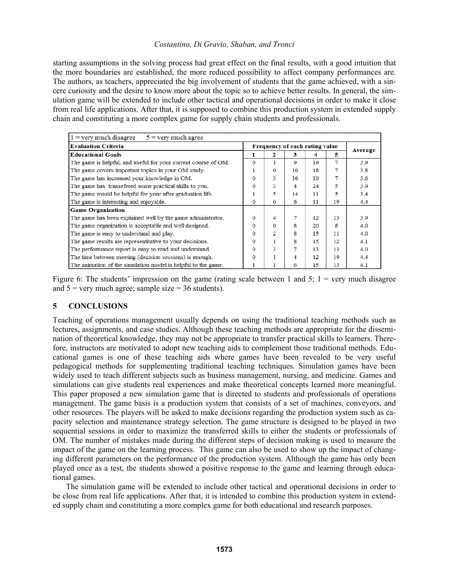starting assumptions in the solving process had great effect on the final results, with a good intuition that the more boundaries are established, the more reduced possibility to affect company performances are. The authors, as teachers, appreciated the big involvement of students that the game achieved, with a sincere curiosity and the desire to know more about the topic so to achieve better results. In general, the simulation game will be extended to include other tactical and operational decisions in order to make it close from real life applications. After that, it is supposed to combine this production system in extended supply chain and constituting a more complex game for supply chain students and professionals.

| $1 =$ very much disagree<br>$5 =$ very much agree              |                                |              |    |    |    |                |  |  |  |
|----------------------------------------------------------------|--------------------------------|--------------|----|----|----|----------------|--|--|--|
| <b>Evaluation Criteria</b>                                     | Frequency of each rating value |              |    |    |    |                |  |  |  |
| <b>Educational Goals</b>                                       | 1                              | $\mathbf{z}$ | 3  | 4  | 5  | <b>Average</b> |  |  |  |
| The game is helpful, and useful for your current course of OM. | $\Omega$                       |              | 9  | 19 | 7  | 3.9            |  |  |  |
| The game covers important topics in your OM study.             |                                | $\Omega$     | 10 | 18 | 7  | 3.8            |  |  |  |
| The game has increased your knowledge in OM.                   | $\Omega$                       | 3            | 16 | 10 |    | 3.6            |  |  |  |
| The game has transefered some practical skills to you.         | $\mathbf{0}$                   | 3            | 4  | 24 | 5  | 3.9            |  |  |  |
| The game would be helpful for your after graduation life.      |                                | 5            | 14 | 11 | 5  | 3.4            |  |  |  |
| The game is interesting and enjoyable.                         | $\Omega$                       | 0            | 6  | 11 | 19 | 4.4            |  |  |  |
| <b>Game Organization</b>                                       |                                |              |    |    |    |                |  |  |  |
| The game has been explained well by the game administrator.    | $\Omega$                       | 4            | 7  | 12 | 13 | 3.9            |  |  |  |
| The game organization is acceptable and well designed.         | $\Omega$                       | $\Omega$     | 8  | 20 | 8  | 4.0            |  |  |  |
| The game is easy to understand and play.                       | $\Omega$                       | 2            | 8  | 15 | 11 | 4.0            |  |  |  |
| The game results are representitative to your decisions.       | $\Omega$                       |              | 8  | 15 | 12 | 4.1            |  |  |  |
| The performance report is easy to read and understand.         | $\Omega$                       | 3            | 7  | 13 | 13 | 4.0            |  |  |  |
| The time between meeting (decision sessions) is enough.        | $\Omega$                       |              | 4  | 12 | 19 | 4.4            |  |  |  |
| The animation of the simulation model is helpful to the game.  |                                |              | 6  | 15 | 13 | 4.1            |  |  |  |

Figure 6: The students' impression on the game (rating scale between 1 and 5;  $1 =$  very much disagree and  $5 =$  very much agree; sample size  $= 36$  students).

## **5 CONCLUSIONS**

Teaching of operations management usually depends on using the traditional teaching methods such as lectures, assignments, and case studies. Although these teaching methods are appropriate for the dissemination of theoretical knowledge, they may not be appropriate to transfer practical skills to learners. Therefore, instructors are motivated to adopt new teaching aids to complement those traditional methods. Educational games is one of these teaching aids where games have been revealed to be very useful pedagogical methods for supplementing traditional teaching techniques. Simulation games have been widely used to teach different subjects such as business management, nursing, and medicine. Games and simulations can give students real experiences and make theoretical concepts learned more meaningful. This paper proposed a new simulation game that is directed to students and professionals of operations management. The game basis is a production system that consists of a set of machines, conveyors, and other resources. The players will be asked to make decisions regarding the production system such as capacity selection and maintenance strategy selection. The game structure is designed to be played in two sequential sessions in order to maximize the transferred skills to either the students or professionals of OM. The number of mistakes made during the different steps of decision making is used to measure the impact of the game on the learning process. This game can also be used to show up the impact of changing different parameters on the performance of the production system. Although the game has only been played once as a test, the students showed a positive response to the game and learning through educational games.

The simulation game will be extended to include other tactical and operational decisions in order to be close from real life applications. After that, it is intended to combine this production system in extended supply chain and constituting a more complex game for both educational and research purposes.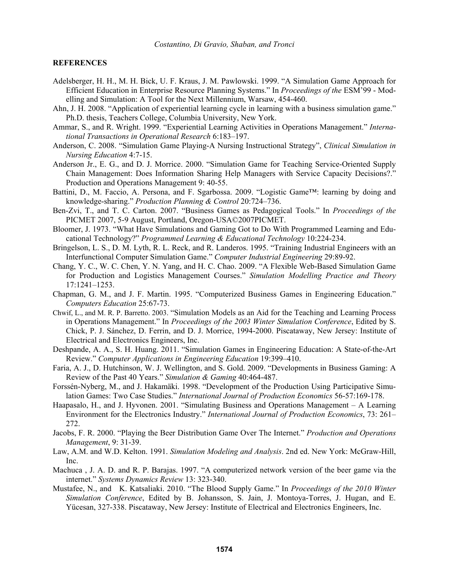#### **REFERENCES**

- Adelsberger, H. H., M. H. Bick, U. F. Kraus, J. M. Pawlowski. 1999. "A Simulation Game Approach for Efficient Education in Enterprise Resource Planning Systems." In *Proceedings of the* ESM'99 - Modelling and Simulation: A Tool for the Next Millennium, Warsaw, 454-460.
- Ahn, J. H. 2008. "Application of experiential learning cycle in learning with a business simulation game." Ph.D. thesis, Teachers College, Columbia University, New York.
- Ammar, S., and R. Wright. 1999. "Experiential Learning Activities in Operations Management." *International Transactions in Operational Research* 6:183–197.
- Anderson, C. 2008. "Simulation Game Playing-A Nursing Instructional Strategy", *Clinical Simulation in Nursing Education* 4:7-15.
- Anderson Jr., E. G., and D. J. Morrice. 2000. "Simulation Game for Teaching Service-Oriented Supply Chain Management: Does Information Sharing Help Managers with Service Capacity Decisions?." Production and Operations Management 9: 40-55.
- Battini, D., M. Faccio, A. Persona, and F. Sgarbossa. 2009. "Logistic Game™: learning by doing and knowledge-sharing." *Production Planning & Control* 20:724–736.
- Ben-Zvi, T., and T. C. Carton. 2007. "Business Games as Pedagogical Tools." In *Proceedings of the* PICMET 2007, 5-9 August, Portland, Oregon-USA©2007PICMET.
- Bloomer, J. 1973. "What Have Simulations and Gaming Got to Do With Programmed Learning and Educational Technology?" *Programmed Learning & Educational Technology* 10:224-234.
- Bringelson, L. S., D. M. Lyth, R. L. Reck, and R. Landeros. 1995. "Training Industrial Engineers with an Interfunctional Computer Simulation Game." *Computer Industrial Engineering* 29:89-92.
- Chang, Y. C., W. C. Chen, Y. N. Yang, and H. C. Chao. 2009. "A Flexible Web-Based Simulation Game for Production and Logistics Management Courses." *Simulation Modelling Practice and Theory* 17:1241–1253.
- Chapman, G. M., and J. F. Martin. 1995. "Computerized Business Games in Engineering Education." *Computers Education* 25:67-73.
- Chwif, L., and M. R. P. Barretto. 2003. "Simulation Models as an Aid for the Teaching and Learning Process in Operations Management." In *Proceedings of the 2003 Winter Simulation Conference*, Edited by S. Chick, P. J. Sánchez, D. Ferrin, and D. J. Morrice, 1994-2000. Piscataway, New Jersey: Institute of Electrical and Electronics Engineers, Inc.
- Deshpande, A. A., S. H. Huang. 2011. "Simulation Games in Engineering Education: A State-of-the-Art Review." *Computer Applications in Engineering Education* 19:399–410.
- Faria, A. J., D. Hutchinson, W. J. Wellington, and S. Gold. 2009. "Developments in Business Gaming: A Review of the Past 40 Years." *Simulation & Gaming* 40:464-487.
- Forssén-Nyberg, M., and J. Hakamäki. 1998. "Development of the Production Using Participative Simulation Games: Two Case Studies." *International Journal of Production Economics* 56-57:169-178.
- Haapasalo, H., and J. Hyvonen. 2001. "Simulating Business and Operations Management A Learning Environment for the Electronics Industry." *International Journal of Production Economics*, 73: 261– 272.
- Jacobs, F. R. 2000. "Playing the Beer Distribution Game Over The Internet." *Production and Operations Management*, 9: 31-39.
- Law, A.M. and W.D. Kelton. 1991. *Simulation Modeling and Analysis*. 2nd ed. New York: McGraw-Hill, Inc.
- Machuca , J. A. D. and R. P. Barajas. 1997. "A computerized network version of the beer game via the internet." *Systems Dynamics Review* 13: 323-340.
- Mustafee, N., and K. Katsaliaki. 2010. "The Blood Supply Game." In *Proceedings of the 2010 Winter Simulation Conference*, Edited by B. Johansson, S. Jain, J. Montoya-Torres, J. Hugan, and E. Yücesan, 327-338. Piscataway, New Jersey: Institute of Electrical and Electronics Engineers, Inc.